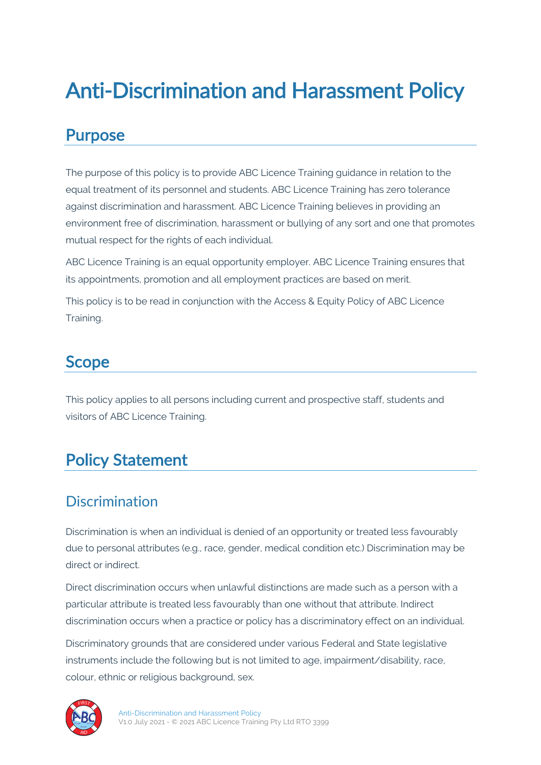# Anti-Discrimination and Harassment Policy

#### Purpose

The purpose of this policy is to provide ABC Licence Training guidance in relation to the equal treatment of its personnel and students. ABC Licence Training has zero tolerance against discrimination and harassment. ABC Licence Training believes in providing an environment free of discrimination, harassment or bullying of any sort and one that promotes mutual respect for the rights of each individual.

ABC Licence Training is an equal opportunity employer. ABC Licence Training ensures that its appointments, promotion and all employment practices are based on merit.

This policy is to be read in conjunction with the Access & Equity Policy of ABC Licence Training.

### **Scope**

This policy applies to all persons including current and prospective staff, students and visitors of ABC Licence Training.

## Policy Statement

#### **Discrimination**

Discrimination is when an individual is denied of an opportunity or treated less favourably due to personal attributes (e.g., race, gender, medical condition etc.) Discrimination may be direct or indirect.

Direct discrimination occurs when unlawful distinctions are made such as a person with a particular attribute is treated less favourably than one without that attribute. Indirect discrimination occurs when a practice or policy has a discriminatory effect on an individual.

Discriminatory grounds that are considered under various Federal and State legislative instruments include the following but is not limited to age, impairment/disability, race, colour, ethnic or religious background, sex.

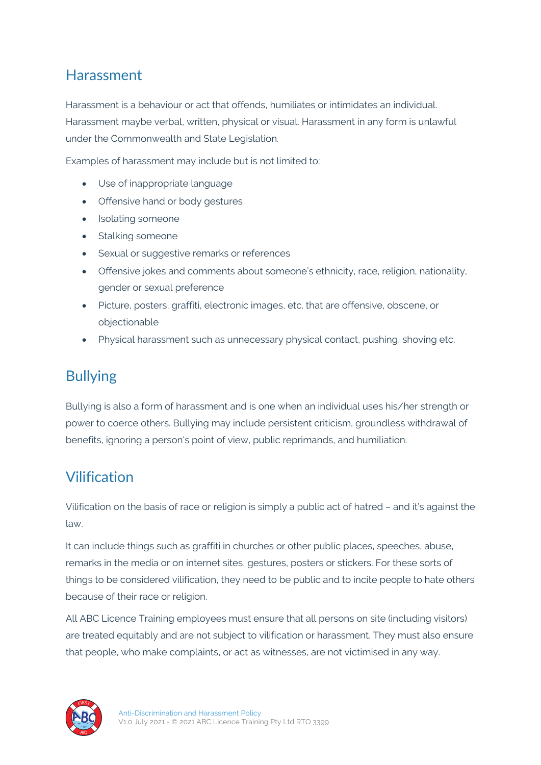#### Harassment

Harassment is a behaviour or act that offends, humiliates or intimidates an individual. Harassment maybe verbal, written, physical or visual. Harassment in any form is unlawful under the Commonwealth and State Legislation.

Examples of harassment may include but is not limited to:

- Use of inappropriate language
- Offensive hand or body gestures
- Isolating someone
- Stalking someone
- Sexual or suggestive remarks or references
- Offensive jokes and comments about someone's ethnicity, race, religion, nationality, gender or sexual preference
- Picture, posters, graffiti, electronic images, etc. that are offensive, obscene, or objectionable
- Physical harassment such as unnecessary physical contact, pushing, shoving etc.

#### Bullying

Bullying is also a form of harassment and is one when an individual uses his/her strength or power to coerce others. Bullying may include persistent criticism, groundless withdrawal of benefits, ignoring a person's point of view, public reprimands, and humiliation.

#### Vilification

Vilification on the basis of race or religion is simply a public act of hatred – and it's against the law.

It can include things such as graffiti in churches or other public places, speeches, abuse, remarks in the media or on internet sites, gestures, posters or stickers. For these sorts of things to be considered vilification, they need to be public and to incite people to hate others because of their race or religion.

All ABC Licence Training employees must ensure that all persons on site (including visitors) are treated equitably and are not subject to vilification or harassment. They must also ensure that people, who make complaints, or act as witnesses, are not victimised in any way.